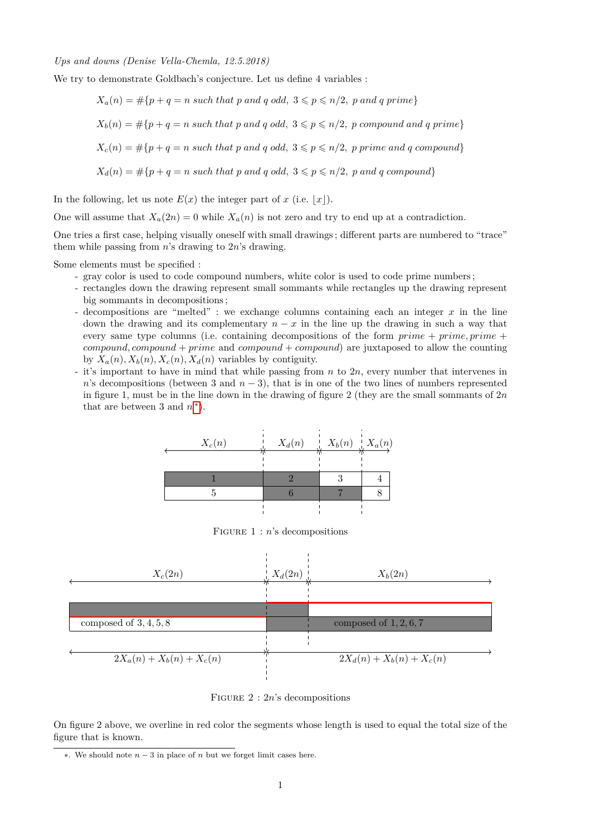## *Ups and downs (Denise Vella-Chemla, 12.5.2018)*

We try to demonstrate Goldbach's conjecture. Let us define 4 variables :

$$
X_a(n) = \#\{p + q = n \text{ such that } p \text{ and } q \text{ odd}, 3 \leqslant p \leqslant n/2, p \text{ and } q \text{ prime}\}
$$

$$
X_b(n) = \#\{p+q=n \text{ such that } p \text{ and } q \text{ odd}, 3 \leq p \leq n/2, p \text{ compound and } q \text{ prime}\}\
$$

$$
X_c(n) = \#\{p + q = n \text{ such that } p \text{ and } q \text{ odd}, 3 \leqslant p \leqslant n/2, p \text{ prime and } q \text{ compound}\}
$$

$$
X_d(n) = \# \{ p + q = n \text{ such that } p \text{ and } q \text{ odd}, \ 3 \leqslant p \leqslant n/2, \ p \text{ and } q \text{ compound} \}
$$

In the following, let us note  $E(x)$  the integer part of *x* (i.e.  $|x|$ ).

One will assume that  $X_a(2n) = 0$  while  $X_a(n)$  is not zero and try to end up at a contradiction.

One tries a first case, helping visually oneself with small drawings ; different parts are numbered to "trace" them while passing from *n*'s drawing to 2*n*'s drawing.

Some elements must be specified :

- gray color is used to code compound numbers, white color is used to code prime numbers ;
- rectangles down the drawing represent small sommants while rectangles up the drawing represent big sommants in decompositions ;
- decompositions are "melted" : we exchange columns containing each an integer *x* in the line down the drawing and its complementary  $n - x$  in the line up the drawing in such a way that every same type columns (i.e. containing decompositions of the form *prime* + *prime, prime* + *compound, compound* + *prime* and *compound* + *compound*) are juxtaposed to allow the counting by  $X_a(n)$ ,  $X_b(n)$ ,  $X_c(n)$ ,  $X_d(n)$  variables by contiguity.
- it's important to have in mind that while passing from *n* to 2*n*, every number that intervenes in *n*'s decompositions (between 3 and  $n-3$ ), that is in one of the two lines of numbers represented in figure 1, must be in the line down in the drawing of figure 2 (they are the small sommants of 2*n* that are between 3 and  $n^*$ ).



Figure 1 : *n*'s decompositions



Figure 2 : 2*n*'s decompositions

On figure 2 above, we overline in red color the segments whose length is used to equal the total size of the figure that is known.

<span id="page-0-0"></span><sup>∗</sup>. We should note *n* − 3 in place of *n* but we forget limit cases here.